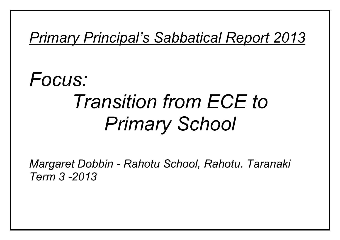# *Primary Principal's Sabbatical Report 2013*

# *Focus: Transition from ECE to Primary School*

*Margaret Dobbin - Rahotu School, Rahotu. Taranaki Term 3 -2013*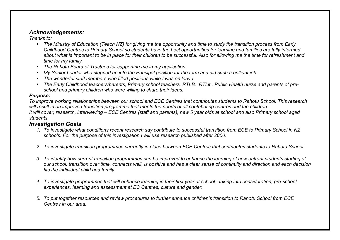# *Acknowledgements:*

*Thanks to:*

- *The Ministry of Education (Teach NZ) for giving me the opportunity and time to study the transition process from Early Childhood Centres to Primary School so students have the best opportunities for learning and families are fully informed about what is important to be in place for their children to be successful. Also for allowing me the time for refreshment and time for my family.*
- *The Rahotu Board of Trustees for supporting me in my application*
- *My Senior Leader who stepped up into the Principal position for the term and did such a brilliant job.*
- *The wonderful staff members who filled positions while I was on leave.*
- *The Early Childhood teachers/parents, Primary school teachers, RTLB, RTLit , Public Health nurse and parents of preschool and primary children who were willing to share their ideas.*

# *Purpose:*

*To improve working relationships between our school and ECE Centres that contributes students to Rahotu School. This research will result in an improved transition programme that meets the needs of all contributing centres and the children. It will cover, research, interviewing – ECE Centres (staff and parents), new 5 year olds at school and also Primary school aged students.*

# *Investigation Goals*

- *1. To investigate what conditions recent research say contribute to successful transition from ECE to Primary School in NZ schools. For the purpose of this investigation I will use research published after 2000.*
- *2. To investigate transition programmes currently in place between ECE Centres that contributes students to Rahotu School.*
- *3. To identify how current transition programmes can be improved to enhance the learning of new entrant students starting at our school: transition over time, connects well, is positive and has a clear sense of continuity and direction and each decision fits the individual child and family.*
- *4. To investigate programmes that will enhance learning in their first year at school –taking into consideration; pre-school experiences, learning and assessment at EC Centres, culture and gender.*
- *5. To put together resources and review procedures to further enhance children's transition to Rahotu School from ECE Centres in our area.*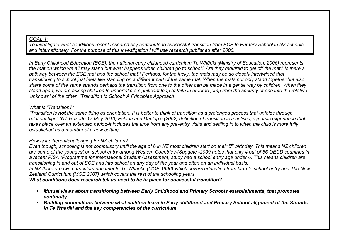#### *GOAL 1:*

*To investigate what conditions recent research say contribute to successful transition from ECE to Primary School in NZ schools and internationally. For the purpose of this investigation I will use research published after 2000.*

*In Early Childhood Education (ECE), the national early childhood curriculum Te Whāriki (Ministry of Education, 2006) represents the mat on which we all may stand but what happens when children go to school? Are they required to get off the mat? Is there a pathway between the ECE mat and the school mat? Perhaps, for the lucky, the mats may be so closely intertwined that transitioning to school just feels like standing on a different part of the same mat. When the mats not only stand together but also share some of the same strands perhaps the transition from one to the other can be made in a gentle way by children. When they stand apart, we are asking children to undertake a significant leap of faith in order to jump from the security of one into the relative 'unknown' of the other. (Transition to School: A Principles Approach)*

## *What is "Transition?"*

*"Transition is not the same thing as orientation. It is better to think of transition as a prolonged process that unfolds through relationships" (NZ Gazette 17 May 2010) Fabian and Dunlop's (2002) definition of transition is a holistic, dynamic experience that takes place over an extended period-it includes the time from any pre-entry visits and settling in to when the child is more fully established as a member of a new setting.*

# *How is it different/challenging for NZ children?*

*Even though, schooling is not compulsory until the age of 6 in NZ most children start on their 5th birthday. This means NZ children are some of the youngest on school entry among Western Countries-(Suggate -2009 notes that only 4 out of 56 OECD countries in a recent PISA (Programme for International Student Assessment) study had a school entry age under 6. This means children are transitioning in and out of ECE and into school on any day of the year and often on an individual basis. In NZ there are two curriculum documents-Te Whariki (MOE 1996)-which covers education from birth to school entry and The New* 

*Zealand Curriculum (MOE 2007) which covers the rest of the schooling years.*

*What conditions does research tell us need to be in place for successful transition?*

- *Mutual views about transitioning between Early Childhood and Primary Schools establishments, that promotes continuity.*
- *Building connections between what children learn in Early childhood and Primary School-alignment of the Strands in Te Whariki and the key competencies of the curriculum.*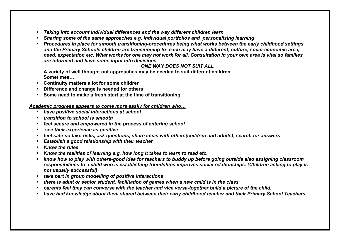- *Taking into account individual differences and the way different children learn.*
- *Sharing some of the same approaches e.g. Individual portfolios and personalising learning*
- *Procedures in place for smooth transitioning-procedures being what works between the early childhood settings and the Primary Schools children are transitioning to- each may have a different; culture, socio-economic area, need, expectation etc. What works for one may not work for all. Consultation in your own area is vital so families are informed and have some input into decisions.*

# *ONE WAY DOES NOT SUIT ALL*

**A variety of well thought out approaches may be needed to suit different children. Sometimes…**

- **Continuity matters a lot for some children**
- **Difference and change is needed for others**
- **Some need to make a fresh start at the time of transitioning.**

## *Academic progress appears to come more easily for children who…*

- *have positive social interactions at school*
- *transition to school is smooth*
- *feel secure and empowered in the process of entering school*
- *see their experience as positive*
- *feel safe-so take risks, ask questions, share ideas with others(children and adults), search for answers*
- *Establish a good relationship with their teacher*
- *Know the rules*
- *Know the realities of learning e.g. how long it takes to learn to read etc.*
- *know how to play with others-good idea for teachers to buddy up before going outside also assigning classroom responsibilities to a child who is establishing friendships improves social relationships. (Children asking to play is not usually successful)*
- *take part in group modelling of positive interactions*
- *there is adult or senior student, facilitation of games when a new child is in the class*
- *parents feel they can converse with the teacher and vice versa-together build a picture of the child.*
- *have had knowledge about them shared between their early childhood teacher and their Primary School Teachers*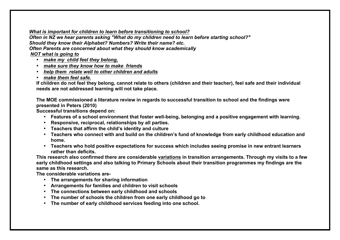## *What is important for children to learn before transitioning to school?*

*Often in NZ we hear parents asking "What do my children need to learn before starting school?" Should they know their Alphabet? Numbers? Write their name? etc. Often Parents are concerned about what they should know academically NOT what is going to* 

- *make my child feel they belong,*
- *make sure they know how to make friends*
- *help them relate well to other children and adults*
- *make them feel safe.*

**If children do not feel they belong, cannot relate to others (children and their teacher), feel safe and their individual needs are not addressed learning will not take place.**

**The MOE commissioned a literature review in regards to successful transition to school and the findings were presented in Peters (2010)**

**Successful transitions depend on:**

- **Features of a school environment that foster well-being, belonging and a positive engagement with learning.**
- **Responsive, reciprocal, relationships by all parties.**
- **Teachers that affirm the child's identity and culture**
- **Teachers who connect with and build on the children's fund of knowledge from early childhood education and home.**
- **Teachers who hold positive expectations for success which includes seeing promise in new entrant learners rather than deficits.**

**This research also confirmed there are considerable variations in transition arrangements. Through my visits to a few early childhood settings and also talking to Primary Schools about their transition programmes my findings are the same as this research.**

**The considerable variations are-**

- **The arrangements for sharing information**
- **Arrangements for families and children to visit schools**
- **The connections between early childhood and schools**
- **The number of schools the children from one early childhood go to**
- **The number of early childhood services feeding into one school.**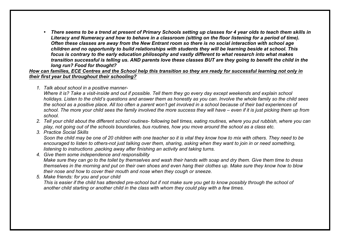• *There seems to be a trend at present of Primary Schools setting up classes for 4 year olds to teach them skills in Literacy and Numeracy and how to behave in a classroom (sitting on the floor listening for a period of time). Often these classes are away from the New Entrant room so there is no social interaction with school age children and no opportunity to build relationships with students they will be learning beside at school. This focus is contrary to the early education philosophy and vastly different to what research into what makes transition successful is telling us. AND parents love these classes BUT are they going to benefit the child in the long run? Food for thought?*

*How can families, ECE Centres and the School help this transition so they are ready for successful learning not only in their first year but throughout their schooling?*

*1. Talk about school in a positive manner-*

*Where it is? Take a visit-inside and out if possible. Tell them they go every day except weekends and explain school holidays. Listen to the child's questions and answer them as honestly as you can. Involve the whole family so the child sees the school as a positive place. All too often a parent won't get involved in a school because of their bad experiences of school. The more your child sees the family involved the more success they will have – even if it is just picking them up from school.*

- *2. Tell your child about the different school routines- following bell times, eating routines, where you put rubbish, where you can play, not going out of the schools boundaries, bus routines, how you move around the school as a class etc.*
- *3. Practice Social Skills*

*Soon the child may be one of 20 children with one teacher so it is vital they know how to mix with others. They need to be encouraged to listen to others-not just talking over them, sharing, asking when they want to join in or need something, listening to instructions ,packing away after finishing an activity and taking turns.*

*4. Give them some independence and responsibility Make sure they can go to the toilet by themselves and wash their hands with soap and dry them. Give them time to dress themselves in the morning and put on their own shoes and even hang their clothes up. Make sure they know how to blow their nose and how to cover their mouth and nose when they cough or sneeze.*

*5. Make friends: for you and your child This is easier if the child has attended pre-school but if not make sure you get to know possibly through the school of another child starting or another child in the class with whom they could play with a few times.*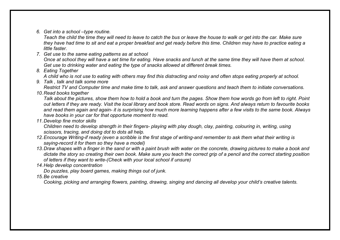*6. Get into a school –type routine.* 

*Teach the child the time they will need to leave to catch the bus or leave the house to walk or get into the car. Make sure they have had time to sit and eat a proper breakfast and get ready before this time. Children may have to practice eating a little faster.* 

- *7. Get use to the same eating patterns as at school Once at school they will have a set time for eating. Have snacks and lunch at the same time they will have them at school. Get use to drinking water and eating the type of snacks allowed at different break times.*
- *8. Eating Together A child who is not use to eating with others may find this distracting and noisy and often stops eating properly at school.*
- *9. Talk , talk and talk some more*

*Restrict TV and Computer time and make time to talk, ask and answer questions and teach them to initiate conversations. 10.Read books together*

*Talk about the pictures, show them how to hold a book and turn the pages. Show them how words go from left to right. Point out letters if they are ready. Visit the local library and book store. Read words on signs. And always return to favourite books and read them again and again- it is surprising how much more learning happens after a few visits to the same book. Always have books in your car for that opportune moment to read.*

*11.Develop fine motor skills*

*Children need to develop strength in their fingers- playing with play dough, clay, painting, colouring in, writing, using scissors, tracing, and doing dot to dots all help.*

- *12.Encourage Writing-if ready (even a scribble is the first stage of writing-and remember to ask them what their writing is saying-record it for them so they have a model)*
- *13.Draw shapes with a finger in the sand or with a paint brush with water on the concrete, drawing pictures to make a book and dictate the story so creating their own book. Make sure you teach the correct grip of a pencil and the correct starting position of letters if they want to write-(Check with your local school if unsure)*
- *14.Help develop concentration*

*Do puzzles, play board games, making things out of junk.*

*15.Be creative*

*Cooking, picking and arranging flowers, painting, drawing, singing and dancing all develop your child's creative talents.*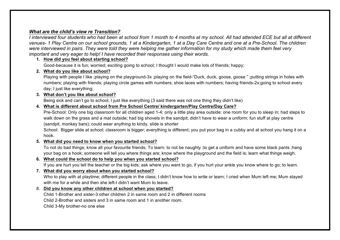# *What are the child's view re Transition?*

*I interviewed four students who had been at school from 1 month to 4 months at my school. All had attended ECE but all at different venues- 1 Play Centre on our school grounds, 1 at a Kindergarten, 1 at a Day Care Centre and one at a Pre-School. The children were interviewed in pairs. They were told they were helping me gather information for my study which made them feel very important and very eager to help! I have recorded their responses using their words.*

# **1. How did you feel about starting school?**

Good-because it is fun; worried; exciting going to school; I thought I would make lots of friends; happy;

# **2. What do you like about school?**

Playing with people I like ;playing on the playground-3x ;playing on the field-"Duck, duck, goose, goose " ;putting strings in holes with numbers; playing with friends; playing circle games with numbers; shoe laces with numbers; having friends-2x;going to school every day; I just like everything;

# **3. What don't you like about school?**

Being sick and can't go to school; I just like everything (3 said there was not one thing they didn't like)

# **4. What is different about school from Pre School Centre/ kindergarten/Play Centre/Day Care?**

Pre-School: Only one big classroom for all children aged 1-4; only a little play area outside: one room for you to sleep in; had steps to walk down on the grass and a mat outside; had big shovels in the sandpit; didn't have to wear a uniform; fun stuff at play centre (sandpit, monkey bars); could wear anything to kindy, slide is shorter

School: Bigger slide at school; classroom is bigger; everything is different; you put your bag in a cubby and at school you hang it on a hook.

## **5. What did you need to know when you started school?**

To not do bad things; know all your favourite friends; To learn; to not be naughty ;to get a uniform and have some black pants ;hang your bag on a hook; someone will tell you where things are; know where the playground and the field is; learn what things weigh.

**6. What could the school do to help you when you started school?**

If you are hurt you tell the teacher or the big kids; ask where you want to go, if you hurt your ankle you know where to go; to learn.

## **7. What did you worry about when you started school?**

Who to play with at playtime; different people in the class; I didn't know how to write or learn; I cried when Mum left me; Mum stayed with me for a while and then she left-I didn't want Mum to leave.

## 8. **Did you know any other children at school when you started?**

Child 1-Brother and sister-3 other children 2 in same room and 2 in different rooms

Child 2-Brother and sisters and 3 in same room and 1 in another room.

Child 3-My brother-no one else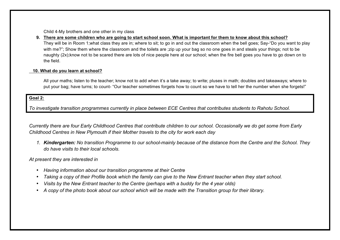Child 4-My brothers and one other in my class

**9. There are some children who are going to start school soon. What is important for them to know about this school?** They will be in Room 1;what class they are in; where to sit; to go in and out the classroom when the bell goes; Say-"Do you want to play with me?"; Show them where the classroom and the toilets are ;zip up your bag so no one goes in and steals your things; not to be naughty (2x);know not to be scared there are lots of nice people here at our school; when the fire bell goes you have to go down on to the field.

#### **10. What do you learn at school?**

All your maths; listen to the teacher; know not to add when it's a take away; to write; pluses in math; doubles and takeaways; where to put your bag; have turns; to count- "Our teacher sometimes forgets how to count so we have to tell her the number when she forgets!"

#### **Goal 2:**

*To investigate transition programmes currently in place between ECE Centres that contributes students to Rahotu School.*

*Currently there are four Early Childhood Centres that contribute children to our school. Occasionally we do get some from Early Childhood Centres in New Plymouth if their Mother travels to the city for work each day*

*1. Kindergarten: No transition Programme to our school-mainly because of the distance from the Centre and the School. They do have visits to their local schools.* 

*At present they are interested in* 

- *Having information about our transition programme at their Centre*
- *Taking a copy of their Profile book which the family can give to the New Entrant teacher when they start school.*
- *Visits by the New Entrant teacher to the Centre (perhaps with a buddy for the 4 year olds)*
- *A copy of the photo book about our school which will be made with the Transition group for their library.*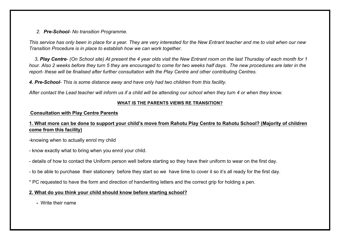# *2. Pre-School- No transition Programme.*

*This service has only been in place for a year. They are very interested for the New Entrant teacher and me to visit when our new Transition Procedure is in place to establish how we can work together.*

 *3. Play Centre- (On School site) At present the 4 year olds visit the New Entrant room on the last Thursday of each month for 1 hour. Also 2 weeks before they turn 5 they are encouraged to come for two weeks half days. The new procedures are later in the report- these will be finalised after further consultation with the Play Centre and other contributing Centres.*

*4. Pre-School- This is some distance away and have only had two children from this facility.*

*After contact the Lead teacher will inform us if a child will be attending our school when they turn 4 or when they know.*

# **WHAT IS THE PARENTS VIEWS RE TRANSITION?**

# **Consultation with Play Centre Parents**

# **1. What more can be done to support your child's move from Rahotu Play Centre to Rahotu School? (Majority of children come from this facility)**

-knowing when to actually enrol my child

- know exactly what to bring when you enrol your child.
- details of how to contact the Uniform person well before starting so they have their uniform to wear on the first day.
- to be able to purchase their stationery before they start so we have time to cover it so it's all ready for the first day.
- \* PC requested to have the form and direction of handwriting letters and the correct grip for holding a pen.

# **2. What do you think your child should know before starting school?**

**-** Write their name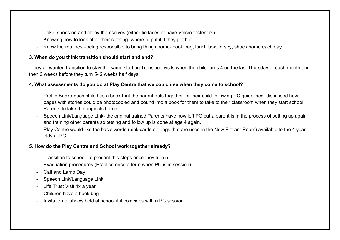- Take shoes on and off by themselves (either tie laces or have Velcro fasteners)
- Knowing how to look after their clothing- where to put it if they get hot.
- Know the routines –being responsible to bring things home- book bag, lunch box, jersey, shoes home each day

#### **3. When do you think transition should start and end?**

-They all wanted transition to stay the same starting Transition visits when the child turns 4 on the last Thursday of each month and then 2 weeks before they turn 5- 2 weeks half days.

#### **4. What assessments do you do at Play Centre that we could use when they come to school?**

- Profile Books-each child has a book that the parent puts together for their child following PC guidelines -discussed how pages with stories could be photocopied and bound into a book for them to take to their classroom when they start school. Parents to take the originals home.
- Speech Link/Language Link- the original trained Parents have now left PC but a parent is in the process of setting up again and training other parents so testing and follow up is done at age 4 again.
- Play Centre would like the basic words (pink cards on rings that are used in the New Entrant Room) available to the 4 year olds at PC.

# **5. How do the Play Centre and School work together already?**

- Transition to school- at present this stops once they turn 5
- Evacuation procedures (Practice once a term when PC is in session)
- Calf and Lamb Day
- Speech Link/Language Link
- Life Trust Visit 1x a year
- Children have a book bag
- Invitation to shows held at school if it coincides with a PC session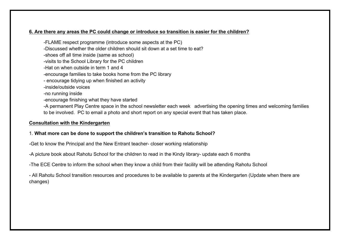# **6. Are there any areas the PC could change or introduce so transition is easier for the children?**

-FLAME respect programme (introduce some aspects at the PC) -Discussed whether the older children should sit down at a set time to eat? -shoes off all time inside (same as school) -visits to the School Library for the PC children -Hat on when outside in term 1 and 4 -encourage families to take books home from the PC library - encourage tidying up when finished an activity -inside/outside voices -no running inside -encourage finishing what they have started -A permanent Play Centre space in the school newsletter each week advertising the opening times and welcoming families to be involved. PC to email a photo and short report on any special event that has taken place.

# **Consultation with the Kindergarten**

# 1. **What more can be done to support the children's transition to Rahotu School?**

-Get to know the Principal and the New Entrant teacher- closer working relationship

-A picture book about Rahotu School for the children to read in the Kindy library- update each 6 months

-The ECE Centre to inform the school when they know a child from their facility will be attending Rahotu School

- All Rahotu School transition resources and procedures to be available to parents at the Kindergarten (Update when there are changes)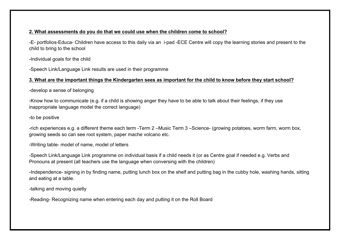# **2. What assessments do you do that we could use when the children come to school?**

-E- portfolios-Educa- Children have access to this daily via an i-pad -ECE Centre will copy the learning stories and present to the child to bring to the school

-Individual goals for the child

-Speech Link/Language Link results are used in their programme

# **3. What are the important things the Kindergarten sees as important for the child to know before they start school?**

-develop a sense of belonging

-Know how to communicate (e.g. if a child is showing anger they have to be able to talk about their feelings, if they use inappropriate language model the correct language)

-to be positive

-rich experiences e.g. a different theme each term -Term 2 –Music Term 3 –Science- (growing potatoes, worm farm, worm box, growing seeds so can see root system, paper mache volcano etc.

-Writing table- model of name, model of letters

-Speech Link/Language Link programme on individual basis if a child needs it (or as Centre goal if needed e.g. Verbs and Pronouns at present (all teachers use the language when conversing with the children)

-Independence- signing in by finding name, putting lunch box on the shelf and putting bag in the cubby hole, washing hands, sitting and eating at a table.

-talking and moving quietly

-Reading- Recognizing name when entering each day and putting it on the Roll Board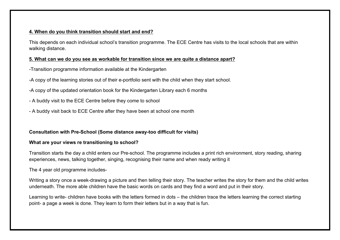# **4. When do you think transition should start and end?**

This depends on each individual school's transition programme. The ECE Centre has visits to the local schools that are within walking distance.

# **5. What can we do you see as workable for transition since we are quite a distance apart?**

- -Transition programme information available at the Kindergarten
- -A copy of the learning stories out of their e-portfolio sent with the child when they start school.
- -A copy of the updated orientation book for the Kindergarten Library each 6 months
- A buddy visit to the ECE Centre before they come to school
- A buddy visit back to ECE Centre after they have been at school one month

# **Consultation with Pre-School (Some distance away-too difficult for visits)**

# **What are your views re transitioning to school?**

Transition starts the day a child enters our Pre-school. The programme includes a print rich environment, story reading, sharing experiences, news, talking together, singing, recognising their name and when ready writing it

The 4 year old programme includes-

Writing a story once a week-drawing a picture and then telling their story. The teacher writes the story for them and the child writes underneath. The more able children have the basic words on cards and they find a word and put in their story.

Learning to write- children have books with the letters formed in dots – the children trace the letters learning the correct starting point- a page a week is done. They learn to form their letters but in a way that is fun.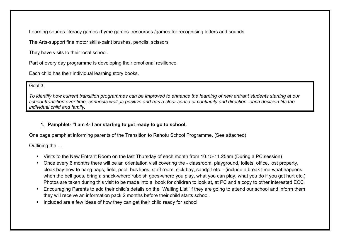Learning sounds-literacy games-rhyme games- resources /games for recognising letters and sounds

The Arts-support fine motor skills-paint brushes, pencils, scissors

They have visits to their local school.

Part of every day programme is developing their emotional resilience

Each child has their individual learning story books.

# Goal 3:

*To identify how current transition programmes can be improved to enhance the learning of new entrant students starting at our school-transition over time, connects well ,is positive and has a clear sense of continuity and direction- each decision fits the individual child and family.*

# **1. Pamphlet- "I am 4- I am starting to get ready to go to school.**

One page pamphlet informing parents of the Transition to Rahotu School Programme. (See attached)

Outlining the …

- Visits to the New Entrant Room on the last Thursday of each month from 10.15-11.25am (During a PC session)
- Once every 6 months there will be an orientation visit covering the classroom, playground, toilets, office, lost property, cloak bay-how to hang bags, field, pool, bus lines, staff room, sick bay, sandpit etc. - (include a break time-what happens when the bell goes, bring a snack-where rubbish goes-where you play, what you can play, what you do if you get hurt etc.) Photos are taken during this visit to be made into a book for children to look at, at PC and a copy to other interested ECC
- Encouraging Parents to add their child's details on the "Waiting List "if they are going to attend our school and inform them they will receive an information pack 2 months before their child starts school.
- Included are a few ideas of how they can get their child ready for school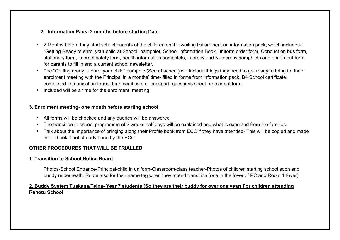# **2. Information Pack- 2 months before starting Date**

- 2 Months before they start school parents of the children on the waiting list are sent an information pack, which includes- "Getting Ready to enrol your child at School "pamphlet, School Information Book, uniform order form, Conduct on bus form, stationery form, internet safety form, health information pamphlets, Literacy and Numeracy pamphlets and enrolment form for parents to fill in and a current school newsletter.
- The "Getting ready to enrol your child" pamphlet(See attached ) will include things they need to get ready to bring to their enrolment meeting with the Principal in a months' time- filled in forms from information pack, B4 School certificate, completed immunisation forms, birth certificate or passport- questions sheet- enrolment form.
- Included will be a time for the enrolment meeting

# **3. Enrolment meeting- one month before starting school**

- All forms will be checked and any queries will be answered
- The transition to school programme of 2 weeks half days will be explained and what is expected from the families.
- Talk about the importance of bringing along their Profile book from ECC if they have attended- This will be copied and made into a book if not already done by the ECC.

# **OTHER PROCEDURES THAT WILL BE TRIALLED**

# **1. Transition to School Notice Board**

Photos-School Entrance-Principal-child in uniform-Classroom-class teacher-Photos of children starting school soon and buddy underneath. Room also for their name tag when they attend transition (one in the foyer of PC and Room 1 foyer)

# **2. Buddy System Tuakana/Teina- Year 7 students (So they are their buddy for over one year) For children attending Rahotu School**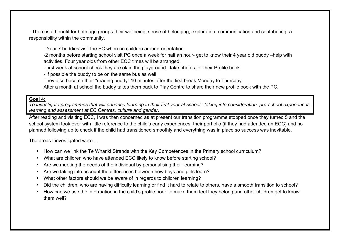- There is a benefit for both age groups-their wellbeing, sense of belonging, exploration, communication and contributing- a responsibility within the community.

- Year 7 buddies visit the PC when no children around-orientation

-2 months before starting school visit PC once a week for half an hour- get to know their 4 year old buddy –help with activities. Four year olds from other ECC times will be arranged.

- first week at school-check they are ok in the playground –take photos for their Profile book.

- if possible the buddy to be on the same bus as well

They also become their "reading buddy" 10 minutes after the first break Monday to Thursday.

After a month at school the buddy takes them back to Play Centre to share their new profile book with the PC.

# **Goal 4:**

*To investigate programmes that will enhance learning in their first year at school –taking into consideration; pre-school experiences, learning and assessment at EC Centres, culture and gender.*

After reading and visiting ECC, I was then concerned as at present our transition programme stopped once they turned 5 and the school system took over with little reference to the child's early experiences, their portfolio (if they had attended an ECC) and no planned following up to check if the child had transitioned smoothly and everything was in place so success was inevitable.

The areas I investigated were…

- How can we link the Te Whariki Strands with the Key Competences in the Primary school curriculum?
- What are children who have attended ECC likely to know before starting school?
- Are we meeting the needs of the individual by personalising their learning?
- Are we taking into account the differences between how boys and girls learn?
- What other factors should we be aware of in regards to children learning?
- Did the children, who are having difficulty learning or find it hard to relate to others, have a smooth transition to school?
- How can we use the information in the child's profile book to make them feel they belong and other children get to know them well?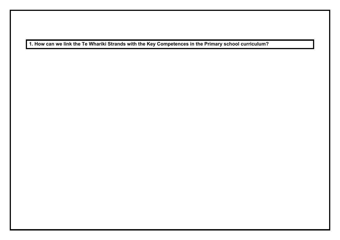**1. How can we link the Te Whariki Strands with the Key Competences in the Primary school curriculum?**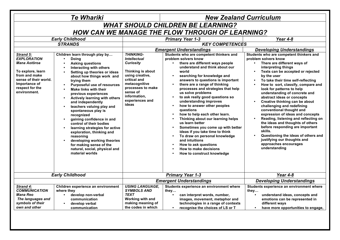| <b>WHAT SHOULD CHILDREN BE LEARNING?</b><br><b>HOW CAN WE MANAGE THE FLOW THROUGH OF LEARNING?</b><br><b>Early Childhood</b><br><b>Primary Year 1-3</b><br>Year 4-8<br><b>KEY COMPETENCES</b><br><b>STRANDS</b><br><b>Emergent Understandings</b><br><b>Developing Understandings</b><br><b>THINKING-</b><br>Students who are competent thinkers and<br>Students who are competent thinkers and<br>Strand 5:<br>Children learn through play by<br>problem solvers know<br><b>EXPLORATION</b><br><b>Intellectual</b><br>problem solvers know<br>Doing<br>$\bullet$<br>Mana Aotōroa<br><b>Curiosity</b><br>there are different ways people<br>There are different ways of<br><b>Asking questions</b><br>understand and think about our<br>interpreting things<br>Interacting with others<br>To explore, learn<br>Thinking is about<br>world<br>Texts can be accepted or rejected<br>$\bullet$<br>Setting up theories or ideas<br>from and make<br>using creative,<br>searching for knowledge and<br>by the user<br>about how things work and<br>$\bullet$<br>sense of their world.<br>critical and<br>answers to questions is important<br>To take their time self-reflecting<br>trying them<br>Importance of<br>metacognitive<br>there are a range of thinking<br><b>Purposeful use of resources</b><br>respect for the<br>processes to make<br>processes and strategies that help<br>look for patterns to help<br>Make links with their<br>$\bullet$<br>environment.<br>sense of<br>us solve problems<br>understanding of concrete and<br>previous experiences<br>information,<br>to ask really good questions so<br>abstract ideas or concepts<br>Actively learning with others<br>$\bullet$<br>experiences and<br>understanding improves<br>Creative thinking can be about<br>and independently<br>ideas<br>how to answer other peoples<br>challenging and redefining<br>teachers valuing play and<br>conventional thought and<br>questions<br>spontaneous play is<br>expression of ideas and concepts<br>how to help each other learn.<br>recognized<br>Thinking about our learning helps<br>gaining confidence in and<br>the ideas and thoughts of others<br>us learn better<br>control of their bodies<br>before responding are important<br>Sometimes you come up with better<br>learning strategies for active<br>skills.<br>ideas if you take time to think<br>exploration, thinking and<br>To draw on personal knowledge<br>reasoning<br>justifying our thoughts and<br>and intuitions<br>developing working theories<br>approaches encourages<br>How to ask questions<br>for making sense of the<br>understanding<br>How to make decisions<br>natural, social, physical and<br>material worlds<br>How to construct knowledge<br><b>Early Childhood</b><br><b>Primary Year 1-3</b><br>Year 4-8<br><b>Emergent Understandings</b><br><b>Developing Understandings</b><br><b>USING LANGUAGE,</b><br>Students experience an environment where<br>Strand 4:<br>Children experience an environment<br><b>SYMBOLS AND</b><br><b>COMMUNICATION</b><br>where they<br>they<br>they<br><b>Mana Reo</b><br><b>TEXT</b><br>develop non-verbal<br>can interpret words, number,<br>understand ideas, concepts and<br>$\bullet$<br>$\bullet$<br>The languages and<br>Working with and<br>emotions can be represented in<br>communication<br>images, movement, metaphor and<br>symbols of their<br>making meaning of<br>technologies in a range of contexts<br>different ways<br>develop verbal<br>own and other<br>the codes in which<br>recognise the choices of LS or T<br>communication |  | <b>Te Whariki</b> | <b>New Zealand Curriculum</b> |  |                                                                                                                   |  |  |  |
|--------------------------------------------------------------------------------------------------------------------------------------------------------------------------------------------------------------------------------------------------------------------------------------------------------------------------------------------------------------------------------------------------------------------------------------------------------------------------------------------------------------------------------------------------------------------------------------------------------------------------------------------------------------------------------------------------------------------------------------------------------------------------------------------------------------------------------------------------------------------------------------------------------------------------------------------------------------------------------------------------------------------------------------------------------------------------------------------------------------------------------------------------------------------------------------------------------------------------------------------------------------------------------------------------------------------------------------------------------------------------------------------------------------------------------------------------------------------------------------------------------------------------------------------------------------------------------------------------------------------------------------------------------------------------------------------------------------------------------------------------------------------------------------------------------------------------------------------------------------------------------------------------------------------------------------------------------------------------------------------------------------------------------------------------------------------------------------------------------------------------------------------------------------------------------------------------------------------------------------------------------------------------------------------------------------------------------------------------------------------------------------------------------------------------------------------------------------------------------------------------------------------------------------------------------------------------------------------------------------------------------------------------------------------------------------------------------------------------------------------------------------------------------------------------------------------------------------------------------------------------------------------------------------------------------------------------------------------------------------------------------------------------------------------------------------------------------------------------------------------------------------------------------------------------------------------------------------------------------------------------------------------------------------------------------------------------------------------------------------------------------------------------------------------------------------------------------------------------------------------------------------------------------------------------------------------------------------|--|-------------------|-------------------------------|--|-------------------------------------------------------------------------------------------------------------------|--|--|--|
|                                                                                                                                                                                                                                                                                                                                                                                                                                                                                                                                                                                                                                                                                                                                                                                                                                                                                                                                                                                                                                                                                                                                                                                                                                                                                                                                                                                                                                                                                                                                                                                                                                                                                                                                                                                                                                                                                                                                                                                                                                                                                                                                                                                                                                                                                                                                                                                                                                                                                                                                                                                                                                                                                                                                                                                                                                                                                                                                                                                                                                                                                                                                                                                                                                                                                                                                                                                                                                                                                                                                                                                      |  |                   |                               |  |                                                                                                                   |  |  |  |
|                                                                                                                                                                                                                                                                                                                                                                                                                                                                                                                                                                                                                                                                                                                                                                                                                                                                                                                                                                                                                                                                                                                                                                                                                                                                                                                                                                                                                                                                                                                                                                                                                                                                                                                                                                                                                                                                                                                                                                                                                                                                                                                                                                                                                                                                                                                                                                                                                                                                                                                                                                                                                                                                                                                                                                                                                                                                                                                                                                                                                                                                                                                                                                                                                                                                                                                                                                                                                                                                                                                                                                                      |  |                   |                               |  |                                                                                                                   |  |  |  |
|                                                                                                                                                                                                                                                                                                                                                                                                                                                                                                                                                                                                                                                                                                                                                                                                                                                                                                                                                                                                                                                                                                                                                                                                                                                                                                                                                                                                                                                                                                                                                                                                                                                                                                                                                                                                                                                                                                                                                                                                                                                                                                                                                                                                                                                                                                                                                                                                                                                                                                                                                                                                                                                                                                                                                                                                                                                                                                                                                                                                                                                                                                                                                                                                                                                                                                                                                                                                                                                                                                                                                                                      |  |                   |                               |  |                                                                                                                   |  |  |  |
|                                                                                                                                                                                                                                                                                                                                                                                                                                                                                                                                                                                                                                                                                                                                                                                                                                                                                                                                                                                                                                                                                                                                                                                                                                                                                                                                                                                                                                                                                                                                                                                                                                                                                                                                                                                                                                                                                                                                                                                                                                                                                                                                                                                                                                                                                                                                                                                                                                                                                                                                                                                                                                                                                                                                                                                                                                                                                                                                                                                                                                                                                                                                                                                                                                                                                                                                                                                                                                                                                                                                                                                      |  |                   |                               |  |                                                                                                                   |  |  |  |
|                                                                                                                                                                                                                                                                                                                                                                                                                                                                                                                                                                                                                                                                                                                                                                                                                                                                                                                                                                                                                                                                                                                                                                                                                                                                                                                                                                                                                                                                                                                                                                                                                                                                                                                                                                                                                                                                                                                                                                                                                                                                                                                                                                                                                                                                                                                                                                                                                                                                                                                                                                                                                                                                                                                                                                                                                                                                                                                                                                                                                                                                                                                                                                                                                                                                                                                                                                                                                                                                                                                                                                                      |  |                   |                               |  |                                                                                                                   |  |  |  |
|                                                                                                                                                                                                                                                                                                                                                                                                                                                                                                                                                                                                                                                                                                                                                                                                                                                                                                                                                                                                                                                                                                                                                                                                                                                                                                                                                                                                                                                                                                                                                                                                                                                                                                                                                                                                                                                                                                                                                                                                                                                                                                                                                                                                                                                                                                                                                                                                                                                                                                                                                                                                                                                                                                                                                                                                                                                                                                                                                                                                                                                                                                                                                                                                                                                                                                                                                                                                                                                                                                                                                                                      |  |                   |                               |  | How to sort, classify, compare and<br>Reading, listening and reflecting on<br>Questioning the ideas of others and |  |  |  |
|                                                                                                                                                                                                                                                                                                                                                                                                                                                                                                                                                                                                                                                                                                                                                                                                                                                                                                                                                                                                                                                                                                                                                                                                                                                                                                                                                                                                                                                                                                                                                                                                                                                                                                                                                                                                                                                                                                                                                                                                                                                                                                                                                                                                                                                                                                                                                                                                                                                                                                                                                                                                                                                                                                                                                                                                                                                                                                                                                                                                                                                                                                                                                                                                                                                                                                                                                                                                                                                                                                                                                                                      |  |                   |                               |  |                                                                                                                   |  |  |  |
|                                                                                                                                                                                                                                                                                                                                                                                                                                                                                                                                                                                                                                                                                                                                                                                                                                                                                                                                                                                                                                                                                                                                                                                                                                                                                                                                                                                                                                                                                                                                                                                                                                                                                                                                                                                                                                                                                                                                                                                                                                                                                                                                                                                                                                                                                                                                                                                                                                                                                                                                                                                                                                                                                                                                                                                                                                                                                                                                                                                                                                                                                                                                                                                                                                                                                                                                                                                                                                                                                                                                                                                      |  |                   |                               |  |                                                                                                                   |  |  |  |
|                                                                                                                                                                                                                                                                                                                                                                                                                                                                                                                                                                                                                                                                                                                                                                                                                                                                                                                                                                                                                                                                                                                                                                                                                                                                                                                                                                                                                                                                                                                                                                                                                                                                                                                                                                                                                                                                                                                                                                                                                                                                                                                                                                                                                                                                                                                                                                                                                                                                                                                                                                                                                                                                                                                                                                                                                                                                                                                                                                                                                                                                                                                                                                                                                                                                                                                                                                                                                                                                                                                                                                                      |  |                   |                               |  | Students experience an environment where<br>have more opportunities to engage,                                    |  |  |  |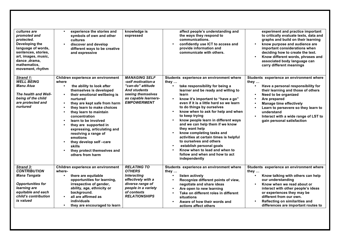| cultures are<br>promoted and<br>protected.<br>Developing the<br>language of words,<br>sentences, stories,<br>art, images, music,<br>dance, drama,<br>mathematics,<br>movement, rhythm | experience the stories and<br>symbols of own and other<br>cultures<br>discover and develop<br>different ways to be creative<br>and expressive                                                                                                                                                                                                                                                                                                                                            | knowledge is<br>expressed                                                                                                                                         | affect people's understanding and<br>the ways they respond to<br>communications.<br>confidently use ICT to access and<br>provide information and<br>communicate with others.                                                                                                                                                                                                                                                                                                                                                                                                                                                           | experiment and practice important<br>to critically evaluate texts, data and<br>graphs and build on their learning<br>know purpose and audience are<br>$\bullet$<br>important considerations when<br>deciding how to create the text.<br>Know different words, phrases and<br>$\bullet$<br>associated body language can<br>carry different meanings                  |
|---------------------------------------------------------------------------------------------------------------------------------------------------------------------------------------|------------------------------------------------------------------------------------------------------------------------------------------------------------------------------------------------------------------------------------------------------------------------------------------------------------------------------------------------------------------------------------------------------------------------------------------------------------------------------------------|-------------------------------------------------------------------------------------------------------------------------------------------------------------------|----------------------------------------------------------------------------------------------------------------------------------------------------------------------------------------------------------------------------------------------------------------------------------------------------------------------------------------------------------------------------------------------------------------------------------------------------------------------------------------------------------------------------------------------------------------------------------------------------------------------------------------|---------------------------------------------------------------------------------------------------------------------------------------------------------------------------------------------------------------------------------------------------------------------------------------------------------------------------------------------------------------------|
| Strand 1:<br><b>WELL BEING</b><br><b>Manu Atua</b><br>The health and Well-<br>being of the child<br>are protected and<br>nurtured                                                     | Children experience an environment<br>where<br>the ability to look after<br>$\bullet$<br>themselves is developed<br>their emotional wellbeing is<br>nurtured<br>they are kept safe from harm<br>they learn to make choices<br>they learn to maintain<br>concentration<br>learn to be involved<br>they are supported in<br>expressing, articulating and<br>resolving a range of<br>emotions<br>they develop self-care<br><b>skills</b><br>they protect themselves and<br>others from harm | <b>MANAGING SELF</b><br>-self motivation-a<br>"can-do" attitude<br><b>And students</b><br>seeing themselves<br>as capable learners-<br><b>EMPOWERMENT</b>         | Students experience an environment where<br>they …<br>take responsibility for being a<br>learner and be ready and willing to<br>learn<br>know it's important to "have a go"<br>$\bullet$<br>even if it is a little hard so we learn<br>to do things by ourselves<br>know when to ask for help and when<br>to keep trying<br>know people learn in different ways<br>and we can help them if we know<br>they want help<br>know completing tasks and<br>activities at certain times is helpful<br>to ourselves and others<br>establish personal goals<br>Know when to lead and when to<br>follow and when and how to act<br>independently | Students experience an environment where<br>they $\dots$<br>Have a personal responsibility for<br>their learning and those of others<br>Need to be organized<br>Are prepared<br>$\bullet$<br><b>Manage time effectively</b><br>$\bullet$<br>Learn to persevere so they learn to<br>understand<br>Interact with a wide range of LST to<br>gain personal satisfaction |
| Strand 3:<br><b>CONTRIBUTION</b><br><b>Mana Tangata</b><br><b>Opportunities for</b><br>learning are<br>equitable and each<br>child's contribution<br>is valued                        | Children experience an environment<br>where-<br>there are equitable<br>$\bullet$<br>opportunities for learning,<br>irrespective of gender,<br>ability, age, ethnicity or<br>background.<br>all are affirmed as<br>$\bullet$<br>individuals<br>they are encouraged to learn                                                                                                                                                                                                               | <b>RELATING TO</b><br><b>OTHERS</b><br><b>Interacting</b><br>effectively with a<br>diverse range of<br>people in a variety<br>of contexts<br><b>RELATIONSHIPS</b> | Students experience an environment where<br>they …<br>listen actively<br>Recognize different points of view,<br>negotiate and share ideas<br>Are open to new learning<br>Take on different roles in different<br>situations<br>Aware of how their words and<br>$\bullet$<br>actions affect others                                                                                                                                                                                                                                                                                                                                      | Students experience an environment where<br>they<br>Know talking with others can help<br>our understanding<br>Know when we read about or<br>interact with other people's ideas<br>or experiences they may be<br>different from our own.<br>Reflecting on similarities and<br>differences are important routes to                                                    |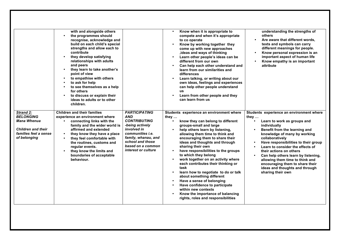|                                                                                                                           | with and alongside others<br>the programmes should<br>$\bullet$<br>recognise, acknowledge and<br>build on each child's special<br>strengths and allow each to<br>contribute<br>they develop satisfying<br>relationships with adults<br>and peers<br>they learn to take another's<br>$\bullet$<br>point of view<br>to empathise with others<br>to ask for help<br>to see themselves as a help<br>$\bullet$<br>for others<br>to discuss or explain their<br>$\bullet$<br>ideas to adults or to other<br>children. |                                                                                                                                                                                                        | Know when it is appropriate to<br>compete and when it's appropriate<br>to co operate<br>Know by working together they<br>come up with new approaches<br>, ideas and ways of thinking<br>Learn other people's ideas can be<br>different from our own<br>Can help each other understand and<br>learn from our similarities and<br>differences<br>Learn talking, or writing about our<br>own ideas, feelings and experiences<br>can help other people understand<br>us<br>Learn from other people and they<br>can learn from us                                                                                                                                                           | understanding the strengths of<br>others<br>Are aware that different words,<br>texts and symbols can carry<br>different meanings for people.<br>Know personal expression is an<br>important aspect of human life<br>Know empathy is an important<br>attribute                                                                                                                                                                                                                                     |
|---------------------------------------------------------------------------------------------------------------------------|-----------------------------------------------------------------------------------------------------------------------------------------------------------------------------------------------------------------------------------------------------------------------------------------------------------------------------------------------------------------------------------------------------------------------------------------------------------------------------------------------------------------|--------------------------------------------------------------------------------------------------------------------------------------------------------------------------------------------------------|----------------------------------------------------------------------------------------------------------------------------------------------------------------------------------------------------------------------------------------------------------------------------------------------------------------------------------------------------------------------------------------------------------------------------------------------------------------------------------------------------------------------------------------------------------------------------------------------------------------------------------------------------------------------------------------|---------------------------------------------------------------------------------------------------------------------------------------------------------------------------------------------------------------------------------------------------------------------------------------------------------------------------------------------------------------------------------------------------------------------------------------------------------------------------------------------------|
| Strand 2:<br><b>BELONGING</b><br><b>Mana Whenua</b><br><b>Children and their</b><br>families feel a sense<br>of belonging | <b>Children and their families</b><br>experience an environment where<br>$\bullet$<br>connecting links with the<br>family and the wider world is<br>affirmed and extended<br>they know they have a place<br>they feel comfortable with<br>$\bullet$<br>the routines, customs and<br>regular events.<br>they know the limits and<br>$\bullet$<br>boundaries of acceptable<br>behaviour.                                                                                                                          | <b>PARTICIPATING</b><br>AND<br><b>CONTRIBUTING</b><br>-being actively<br>involved in<br>communities <i>i.e.</i><br>family, whanau, and<br>school and those<br>based on a common<br>interest or culture | Students experience an environment where<br>they …<br>know they can belong to different<br>$\bullet$<br>groups-small and large<br>help others learn by listening,<br>allowing them time to think and<br>encouraging them to share their<br>ideas and thoughts and through<br>sharing their own<br>have responsibilities to the groups<br>to which they belong<br>work together on an activity where<br>each contributes their thinking or<br>task<br>learn how to negotiate to do or talk<br>about something different<br>Have a sense of belonging<br>Have confidence to participate<br>within new contexts<br>Know the importance of balancing<br>rights, roles and responsibilities | Students experience an environment where<br>they $\ldots$<br>Learn to work as groups and<br>$\bullet$<br>individually<br>Benefit from the learning and<br>knowledge of many by working<br>collaboratively<br>Have responsibilities to their group<br>$\bullet$<br>Learn to consider the effects of<br>their actions on others<br>Can help others learn by listening,<br>allowing them time to think and<br>encouraging them to share their<br>ideas and thoughts and through<br>sharing their own |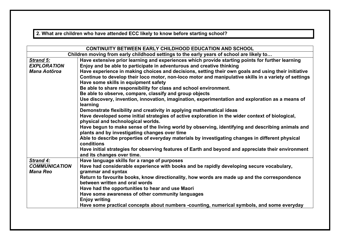**2. What are children who have attended ECC likely to know before starting school?**

| CONTINUITY BETWEEN EARLY CHILDHOOD EDUCATION AND SCHOOL                                  |                                                                                                                                                    |  |  |  |  |  |
|------------------------------------------------------------------------------------------|----------------------------------------------------------------------------------------------------------------------------------------------------|--|--|--|--|--|
| Children moving from early childhood settings to the early years of school are likely to |                                                                                                                                                    |  |  |  |  |  |
| Strand 5:                                                                                | Have extensive prior learning and experiences which provide starting points for further learning                                                   |  |  |  |  |  |
| <b>EXPLORATION</b>                                                                       | Enjoy and be able to participate in adventurous and creative thinking                                                                              |  |  |  |  |  |
| <b>Mana Aotōroa</b>                                                                      | Have experience in making choices and decisions, setting their own goals and using their initiative                                                |  |  |  |  |  |
|                                                                                          | Continue to develop their loco motor, non-loco motor and manipulative skills in a variety of settings                                              |  |  |  |  |  |
|                                                                                          | Have some skills in equipment safety                                                                                                               |  |  |  |  |  |
|                                                                                          | Be able to share responsibility for class and school environment.                                                                                  |  |  |  |  |  |
|                                                                                          | Be able to observe, compare, classify and group objects                                                                                            |  |  |  |  |  |
|                                                                                          | Use discovery, invention, innovation, imagination, experimentation and exploration as a means of<br>learning                                       |  |  |  |  |  |
|                                                                                          | Demonstrate flexibility and creativity in applying mathematical ideas                                                                              |  |  |  |  |  |
|                                                                                          | Have developed some initial strategies of active exploration in the wider context of biological,<br>physical and technological worlds.             |  |  |  |  |  |
|                                                                                          | Have begun to make sense of the living world by observing, identifying and describing animals and<br>plants and by investigating changes over time |  |  |  |  |  |
|                                                                                          | Able to describe properties of everyday materials by investigating changes in different physical<br>conditions                                     |  |  |  |  |  |
|                                                                                          | Have initial strategies for observing features of Earth and beyond and appreciate their environment<br>and its changes over time.                  |  |  |  |  |  |
| Strand 4:                                                                                | Have language skills for a range of purposes                                                                                                       |  |  |  |  |  |
| <b>COMMUNICATION</b><br><b>Mana Reo</b>                                                  | Have had considerable experience with books and be rapidly developing secure vocabulary,<br>grammar and syntax                                     |  |  |  |  |  |
|                                                                                          | Return to favourite books, know directionality, how words are made up and the correspondence                                                       |  |  |  |  |  |
|                                                                                          | between written and oral words                                                                                                                     |  |  |  |  |  |
|                                                                                          | Have had the opportunities to hear and use Maori                                                                                                   |  |  |  |  |  |
|                                                                                          | Have some awareness of other community languages                                                                                                   |  |  |  |  |  |
|                                                                                          | <b>Enjoy writing</b>                                                                                                                               |  |  |  |  |  |
|                                                                                          | Have some practical concepts about numbers -counting, numerical symbols, and some everyday                                                         |  |  |  |  |  |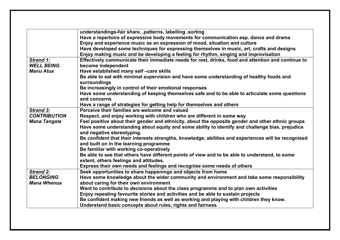|                     | understandings-fair share, , patterns, labelling , sorting                                           |
|---------------------|------------------------------------------------------------------------------------------------------|
|                     | Have a repertoire of expressive body movements for communication esp. dance and drama                |
|                     | Enjoy and experience music as an expression of mood, situation and culture                           |
|                     | Have developed some techniques for expressing themselves in music, art, crafts and designs           |
|                     | Enjoy making music and be developing a feeling for rhythm, singing and improvisation                 |
| Strand 1:           | Effectively communicate their immediate needs for rest, drinks, food and attention and continue to   |
| <b>WELL BEING</b>   | become independent                                                                                   |
| <b>Manu Atua</b>    | Have established many self-care skills                                                               |
|                     | Be able to eat with minimal supervision and have some understanding of healthy foods and             |
|                     | surroundings                                                                                         |
|                     | Be increasingly in control of their emotional responses                                              |
|                     | Have some understanding of keeping themselves safe and to be able to articulate some questions       |
|                     | and concerns                                                                                         |
|                     | Have a range of strategies for getting help for themselves and others                                |
| <b>Strand 3:</b>    | Perceive their families are welcome and valued                                                       |
| <b>CONTRIBUTION</b> | Respect, and enjoy working with children who are different in some way                               |
| <b>Mana Tangata</b> | Feel positive about their gender and ethnicity, about the opposite gender and other ethnic groups    |
|                     | Have some understanding about equity and some ability to identify and challenge bias, prejudice      |
|                     | and negative stereotyping.                                                                           |
|                     | Be confident that their interests strengths, knowledge, abilities and experiences will be recognised |
|                     | and built on in the learning programme                                                               |
|                     | Be familiar with working co-operatively                                                              |
|                     | Be able to see that others have different points of view and to be able to understand, to some       |
|                     | extent, others feelings and attitudes.                                                               |
|                     | Express their own needs and feelings and recognise some needs of others                              |
| <b>Strand 2:</b>    | Seek opportunities to share happenings and objects from home                                         |
| <b>BELONGING</b>    | Have some knowledge about the wider community and environment and take some responsibility           |
| <b>Mana Whenua</b>  | about caring for their own environment                                                               |
|                     | Want to contribute to decisions about the class programme and to plan own activities                 |
|                     | Enjoy repeating favourite stories and activities and be able to sustain projects                     |
|                     | Be confident making new friends as well as working and playing with children they know.              |
|                     | Understand basic concepts about rules, rights and fairness                                           |
|                     |                                                                                                      |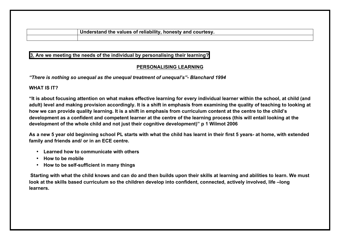**Understand the values of reliability, honesty and courtesy.**

**3. Are we meeting the needs of the individual by personalising their learning?**

# **PERSONALISING LEARNING**

*"There is nothing so unequal as the unequal treatment of unequal's"- Blanchard 1994*

# **WHAT IS IT?**

**"It is about focusing attention on what makes effective learning for every individual learner within the school, at child (and adult) level and making provision accordingly. It is a shift in emphasis from examining the quality of teaching to looking at how we can provide quality learning. It is a shift in emphasis from curriculum content at the centre to the child's development as a confident and competent learner at the centre of the learning process (this will entail looking at the development of the whole child and not just their cognitive development)" p 1 Wilmot 2006**

**As a new 5 year old beginning school PL starts with what the child has learnt in their first 5 years- at home, with extended family and friends and/ or in an ECE centre.**

- **Learned how to communicate with others**
- **How to be mobile**
- **How to be self-sufficient in many things**

**Starting with what the child knows and can do and then builds upon their skills at learning and abilities to learn. We must look at the skills based curriculum so the children develop into confident, connected, actively involved, life –long learners.**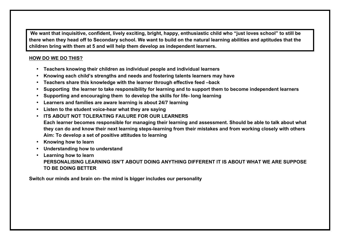**We want that inquisitive, confident, lively exciting, bright, happy, enthusiastic child who "just loves school" to still be there when they head off to Secondary school. We want to build on the natural learning abilities and aptitudes that the children bring with them at 5 and will help them develop as independent learners.**

# **HOW DO WE DO THIS?**

- **Teachers knowing their children as individual people and individual learners**
- **Knowing each child's strengths and needs and fostering talents learners may have**
- **Teachers share this knowledge with the learner through effective feed –back**
- **Supporting the learner to take responsibility for learning and to support them to become independent learners**
- **Supporting and encouraging them to develop the skills for life- long learning**
- **Learners and families are aware learning is about 24/7 learning**
- **Listen to the student voice-hear what they are saying**
- **ITS ABOUT NOT TOLERATING FAILURE FOR OUR LEARNERS Each learner becomes responsible for managing their learning and assessment. Should be able to talk about what they can do and know their next learning steps-learning from their mistakes and from working closely with others Aim: To develop a set of positive attitudes to learning**
- **Knowing how to learn**
- **Understanding how to understand**
- **Learning how to learn PERSONALISING LEARNING ISN'T ABOUT DOING ANYTHING DIFFERENT IT IS ABOUT WHAT WE ARE SUPPOSE TO BE DOING BETTER**

**Switch our minds and brain on- the mind is bigger includes our personality**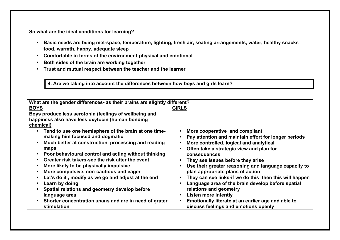# **So what are the ideal conditions for learning?**

- **Basic needs are being met-space, temperature, lighting, fresh air, seating arrangements, water, healthy snacks food, warmth, happy, adequate sleep**
- **Comfortable in terms of the environment-physical and emotional**
- **Both sides of the brain are working together**
- **Trust and mutual respect between the teacher and the learner**

**4. Are we taking into account the differences between how boys and girls learn?**

| More cooperative and compliant<br>Pay attention and maintain effort for longer periods<br>More controlled, logical and analytical<br>Often take a strategic view and plan for<br>They see issues before they arise<br>Use their greater reasoning and language capacity to<br>plan appropriate plans of action<br>They can see links-if we do this then this will happen<br>Language area of the brain develop before spatial<br>relations and geometry<br>Emotionally literate at an earlier age and able to<br>discuss feelings and emotions openly |
|-------------------------------------------------------------------------------------------------------------------------------------------------------------------------------------------------------------------------------------------------------------------------------------------------------------------------------------------------------------------------------------------------------------------------------------------------------------------------------------------------------------------------------------------------------|
|                                                                                                                                                                                                                                                                                                                                                                                                                                                                                                                                                       |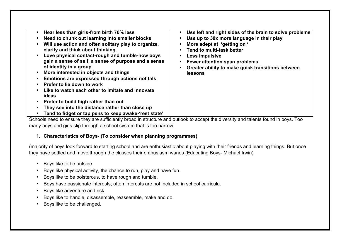| Hear less than girls-from birth 70% less              | Use left and right sides of the brain to solve problems<br>$\bullet$ |
|-------------------------------------------------------|----------------------------------------------------------------------|
| Need to chunk out learning into smaller blocks        | Use up to 30x more language in their play                            |
| Will use action and often solitary play to organize,  | More adept at 'getting on '                                          |
| clarify and think about thinking.                     | Tend to multi-task better<br>$\bullet$                               |
| Love physical contact-rough and tumble-how boys       | Less impulsive<br>$\bullet$                                          |
| gain a sense of self, a sense of purpose and a sense  | Fewer attention span problems                                        |
| of identity in a group                                | Greater ability to make quick transitions between                    |
| More interested in objects and things                 | <b>lessons</b>                                                       |
| Emotions are expressed through actions not talk       |                                                                      |
| Prefer to lie down to work                            |                                                                      |
| Like to watch each other to imitate and innovate      |                                                                      |
| ideas                                                 |                                                                      |
| Prefer to build high rather than out                  |                                                                      |
| They see into the distance rather than close up       |                                                                      |
| Tend to fidget or tap pens to keep awake-'rest state' |                                                                      |

Schools need to ensure they are sufficiently broad in structure and outlook to accept the diversity and talents found in boys. Too many boys and girls slip through a school system that is too narrow.

# **1. Characteristics of Boys- (To consider when planning programmes)**

(majority of boys look forward to starting school and are enthusiastic about playing with their friends and learning things. But once they have settled and move through the classes their enthusiasm wanes (Educating Boys- Michael Irwin)

- Boys like to be outside
- Boys like physical activity, the chance to run, play and have fun.
- Boys like to be boisterous, to have rough and tumble.
- Boys have passionate interests; often interests are not included in school curricula.
- Boys like adventure and risk
- Boys like to handle, disassemble, reassemble, make and do.
- Boys like to be challenged.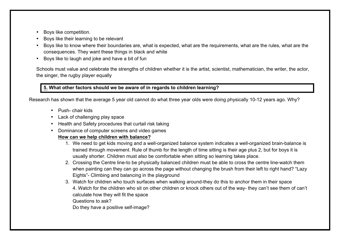- Boys like competition.
- Boys like their learning to be relevant
- Boys like to know where their boundaries are, what is expected, what are the requirements, what are the rules, what are the consequences. They want these things in black and white
- Boys like to laugh and joke and have a bit of fun

Schools must value and celebrate the strengths of children whether it is the artist, scientist, mathematician, the writer, the actor, the singer, the rugby player equally

# **5. What other factors should we be aware of in regards to children learning?**

Research has shown that the average 5 year old cannot do what three year olds were doing physically 10-12 years ago. Why?

- Push- chair kids
- Lack of challenging play space
- Health and Safety procedures that curtail risk taking
- Dominance of computer screens and video games

# **How can we help children with balance?**

- 1. We need to get kids moving and a well-organized balance system indicates a well-organized brain-balance is trained through movement. Rule of thumb for the length of time sitting is their age plus 2, but for boys it is usually shorter. Children must also be comfortable when sitting so learning takes place.
- 2. Crossing the Centre line-to be physically balanced children must be able to cross the centre line-watch them when painting can they can go across the page without changing the brush from their left to right hand? "Lazy Eights"- Climbing and balancing in the playground
- 3. Watch for children who touch surfaces when walking around-they do this to anchor them in their space 4. Watch for the children who sit on other children or knock others out of the way- they can't see them of can't calculate how they will fit the space

Questions to ask?

Do they have a positive self-image?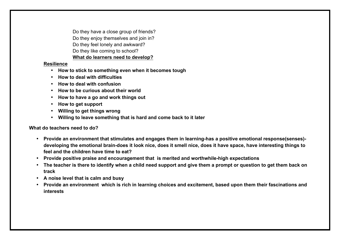Do they have a close group of friends? Do they enjoy themselves and join in? Do they feel lonely and awkward? Do they like coming to school? **What do learners need to develop?**

#### **Resilience**

- **How to stick to something even when it becomes tough**
- **How to deal with difficulties**
- **How to deal with confusion**
- **How to be curious about their world**
- **How to have a go and work things out**
- **How to get support**
- **Willing to get things wrong**
- **Willing to leave something that is hard and come back to it later**

# **What do teachers need to do?**

- **Provide an environment that stimulates and engages them in learning-has a positive emotional response(senses) developing the emotional brain-does it look nice, does it smell nice, does it have space, have interesting things to feel and the children have time to eat?**
- **Provide positive praise and encouragement that is merited and worthwhile-high expectations**
- **The teacher is there to identify when a child need support and give them a prompt or question to get them back on track**
- **A noise level that is calm and busy**
- **Provide an environment which is rich in learning choices and excitement, based upon them their fascinations and interests**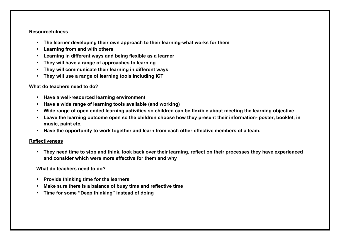#### **Resourcefulness**

- **The learner developing their own approach to their learning-what works for them**
- **Learning from and with others**
- **Learning in different ways and being flexible as a learner**
- **They will have a range of approaches to learning**
- **They will communicate their learning in different ways**
- **They will use a range of learning tools including ICT**

# **What do teachers need to do?**

- **Have a well-resourced learning environment**
- **Have a wide range of learning tools available (and working)**
- **Wide range of open ended learning activities so children can be flexible about meeting the learning objective.**
- **Leave the learning outcome open so the children choose how they present their information- poster, booklet, in music, paint etc.**
- **Have the opportunity to work together and learn from each other-effective members of a team.**

## **Reflectiveness**

• **They need time to stop and think, look back over their learning, reflect on their processes they have experienced and consider which were more effective for them and why**

# **What do teachers need to do?**

- **Provide thinking time for the learners**
- **Make sure there is a balance of busy time and reflective time**
- **Time for some "Deep thinking" instead of doing**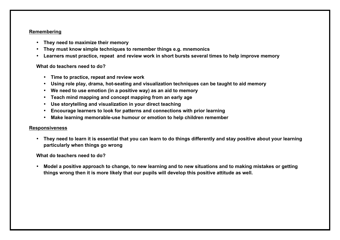#### **Remembering**

- **They need to maximize their memory**
- **They must know simple techniques to remember things e.g. mnemonics**
- **Learners must practice, repeat and review work in short bursts several times to help improve memory**

#### **What do teachers need to do?**

- **Time to practice, repeat and review work**
- **Using role play, drama, hot-seating and visualization techniques can be taught to aid memory**
- **We need to use emotion (in a positive way) as an aid to memory**
- **Teach mind mapping and concept mapping from an early age**
- **Use storytelling and visualization in your direct teaching**
- **Encourage learners to look for patterns and connections with prior learning**
- **Make learning memorable-use humour or emotion to help children remember**

## **Responsiveness**

• **They need to learn it is essential that you can learn to do things differently and stay positive about your learning particularly when things go wrong**

**What do teachers need to do?**

• **Model a positive approach to change, to new learning and to new situations and to making mistakes or getting things wrong then it is more likely that our pupils will develop this positive attitude as well.**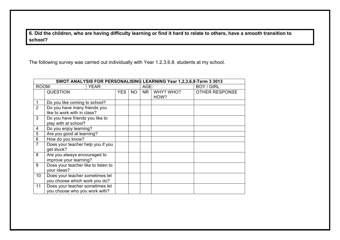**6. Did the children, who are having difficulty learning or find it hard to relate to others, have a smooth transition to school?**

The following survey was carried out individually with Year 1.2.3.6.8. students at my school.

| SWOT ANALYSIS FOR PERSONALISING LEARNING Year 1,2,3,6,8-Term 3 3013 |                                                                  |  |            |           |    |                   |                       |
|---------------------------------------------------------------------|------------------------------------------------------------------|--|------------|-----------|----|-------------------|-----------------------|
| ROOM:<br>YEAR:                                                      |                                                                  |  | AGE:       |           |    | <b>BOY / GIRL</b> |                       |
|                                                                     | <b>QUESTION</b>                                                  |  | <b>YES</b> | <b>NO</b> | NR | WHY? WHO?<br>HOW? | <b>OTHER RESPONSE</b> |
|                                                                     | Do you like coming to school?                                    |  |            |           |    |                   |                       |
| 2                                                                   | Do you have many friends you<br>like to work with in class?      |  |            |           |    |                   |                       |
| 3                                                                   | Do you have friends you like to<br>play with at school?          |  |            |           |    |                   |                       |
| 4                                                                   | Do you enjoy learning?                                           |  |            |           |    |                   |                       |
| 5                                                                   | Are you good at learning?                                        |  |            |           |    |                   |                       |
| 6                                                                   | How do you know?                                                 |  |            |           |    |                   |                       |
| $\overline{7}$                                                      | Does your teacher help you if you<br>get stuck?                  |  |            |           |    |                   |                       |
| 8                                                                   | Are you always encouraged to<br>improve your learning?           |  |            |           |    |                   |                       |
| 9                                                                   | Does your teacher like to listen to<br>your ideas?               |  |            |           |    |                   |                       |
| 10                                                                  | Does your teacher sometimes let<br>you choose which work you do? |  |            |           |    |                   |                       |
| 11                                                                  | Does your teacher sometimes let<br>you choose who you work with? |  |            |           |    |                   |                       |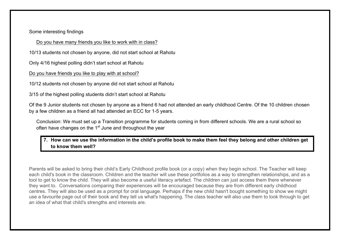Some interesting findings

Do you have many friends you like to work with in class?

10/13 students not chosen by anyone, did not start school at Rahotu

Only 4/16 highest polling didn't start school at Rahotu

Do you have friends you like to play with at school?

10/12 students not chosen by anyone did not start school at Rahotu

3/15 of the highest polling students didn't start school at Rahotu

Of the 9 Junior students not chosen by anyone as a friend 6 had not attended an early childhood Centre. Of the 10 children chosen by a few children as a friend all had attended an ECC for 1-5 years.

Conclusion: We must set up a Transition programme for students coming in from different schools. We are a rural school so often have changes on the  $1<sup>st</sup>$  June and throughout the year

**7. How can we use the information in the child's profile book to make them feel they belong and other children get to know them well?**

Parents will be asked to bring their child's Early Childhood profile book (or a copy) when they begin school. The Teacher will keep each child's book in the classroom. Children and the teacher will use these portfolios as a way to strengthen relationships, and as a tool to get to know the child. They will also become a useful literacy artefact. The children can just access them there whenever they want to. Conversations comparing their experiences will be encouraged because they are from different early childhood centres. They will also be used as a prompt for oral language. Perhaps if the new child hasn't bought something to show we might use a favourite page out of their book and they tell us what's happening. The class teacher will also use them to look through to get an idea of what that child's strengths and interests are.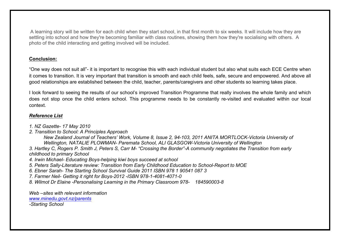A learning story will be written for each child when they start school, in that first month to six weeks. It will include how they are settling into school and how they're becoming familiar with class routines, showing them how they're socialising with others. A photo of the child interacting and getting involved will be included.

## **Conclusion:**

"One way does not suit all"- it is important to recognise this with each individual student but also what suits each ECE Centre when it comes to transition. It is very important that transition is smooth and each child feels, safe, secure and empowered. And above all good relationships are established between the child, teacher, parents/caregivers and other students so learning takes place.

I look forward to seeing the results of our school's improved Transition Programme that really involves the whole family and which does not stop once the child enters school. This programme needs to be constantly re-visited and evaluated within our local context.

## *Reference List*

- *1. NZ Gazette- 17 May 2010*
- *2. Transition to School: A Principles Approach*

*New Zealand Journal of Teachers' Work, Volume 8, Issue 2, 94-103, 2011 ANITA MORTLOCK-Victoria University of Wellington, NATALIE PLOWMAN- Paremata School, ALI GLASGOW-Victoria University of Wellington*

*3. Hartley C, Rogers P. Smith J, Peters S, Carr M- "Crossing the Border"-A community negotiates the Transition from early childhood to primary School*

*4. Irwin Michael- Educating Boys-helping kiwi boys succeed at school*

- *5. Peters Sally-Literature review: Transition from Early Childhood Education to School-Report to MOE*
- *6. Ebner Sarah- The Starting School Survival Guide 2011 ISBN 978 1 90541 087 3*
- *7. Farmer Neil- Getting it right for Boys-2012 -ISBN 978-1-4081-4071-0*
- *8. Wilmot Dr Elaine -Personalising Learning in the Primary Classroom 978- 184590003-8*

*Web –sites with relevant information www.minedu.govt.nz/parents*

*-Starting School*